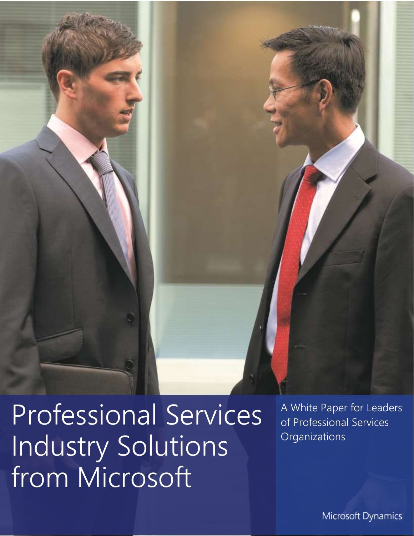$\blacksquare$  I Professional Solutions in Professional Services Industry Solutions from Microsoft

A White Paper for Leaders of Professional Services **Organizations** 

Microsoft Dynamics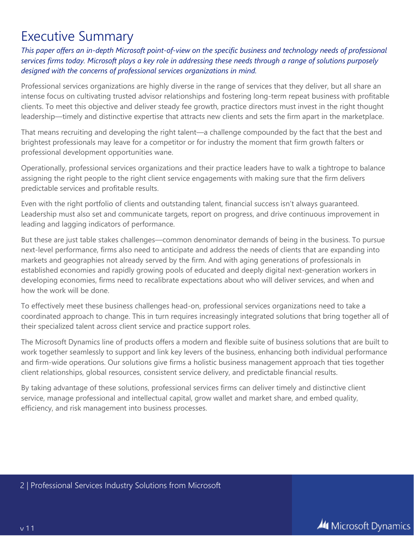### Executive Summary

*This paper offers an in-depth Microsoft point-of-view on the specific business and technology needs of professional services firms today. Microsoft plays a key role in addressing these needs through a range of solutions purposely designed with the concerns of professional services organizations in mind.*

Professional services organizations are highly diverse in the range of services that they deliver, but all share an intense focus on cultivating trusted advisor relationships and fostering long-term repeat business with profitable clients. To meet this objective and deliver steady fee growth, practice directors must invest in the right thought leadership—timely and distinctive expertise that attracts new clients and sets the firm apart in the marketplace.

That means recruiting and developing the right talent—a challenge compounded by the fact that the best and brightest professionals may leave for a competitor or for industry the moment that firm growth falters or professional development opportunities wane.

Operationally, professional services organizations and their practice leaders have to walk a tightrope to balance assigning the right people to the right client service engagements with making sure that the firm delivers predictable services and profitable results.

Even with the right portfolio of clients and outstanding talent, financial success isn't always guaranteed. Leadership must also set and communicate targets, report on progress, and drive continuous improvement in leading and lagging indicators of performance.

But these are just table stakes challenges—common denominator demands of being in the business. To pursue next-level performance, firms also need to anticipate and address the needs of clients that are expanding into markets and geographies not already served by the firm. And with aging generations of professionals in established economies and rapidly growing pools of educated and deeply digital next-generation workers in developing economies, firms need to recalibrate expectations about who will deliver services, and when and how the work will be done.

To effectively meet these business challenges head-on, professional services organizations need to take a coordinated approach to change. This in turn requires increasingly integrated solutions that bring together all of their specialized talent across client service and practice support roles.

The Microsoft Dynamics line of products offers a modern and flexible suite of business solutions that are built to work together seamlessly to support and link key levers of the business, enhancing both individual performance and firm-wide operations. Our solutions give firms a holistic business management approach that ties together client relationships, global resources, consistent service delivery, and predictable financial results.

By taking advantage of these solutions, professional services firms can deliver timely and distinctive client service, manage professional and intellectual capital, grow wallet and market share, and embed quality, efficiency, and risk management into business processes.

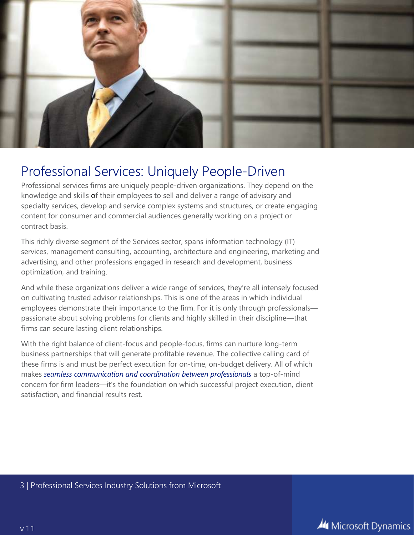

### Professional Services: Uniquely People-Driven

Professional services firms are uniquely people-driven organizations. They depend on the knowledge and skills of their employees to sell and deliver a range of advisory and specialty services, develop and service complex systems and structures, or create engaging content for consumer and commercial audiences generally working on a project or contract basis.

This richly diverse segment of the Services sector, spans information technology (IT) services, management consulting, accounting, architecture and engineering, marketing and advertising, and other professions engaged in research and development, business optimization, and training.

And while these organizations deliver a wide range of services, they're all intensely focused on cultivating trusted advisor relationships. This is one of the areas in which individual employees demonstrate their importance to the firm. For it is only through professionals passionate about solving problems for clients and highly skilled in their discipline—that firms can secure lasting client relationships.

With the right balance of client-focus and people-focus, firms can nurture long-term business partnerships that will generate profitable revenue. The collective calling card of these firms is and must be perfect execution for on-time, on-budget delivery. All of which makes *seamless communication and coordination between professionals* a top-of-mind concern for firm leaders—it's the foundation on which successful project execution, client satisfaction, and financial results rest.

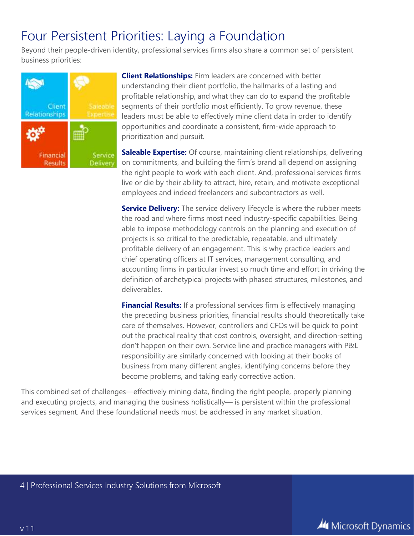### Four Persistent Priorities: Laying a Foundation

Beyond their people-driven identity, professional services firms also share a common set of persistent business priorities:



**Client Relationships:** Firm leaders are concerned with better understanding their client portfolio, the hallmarks of a lasting and profitable relationship, and what they can do to expand the profitable segments of their portfolio most efficiently. To grow revenue, these leaders must be able to effectively mine client data in order to identify opportunities and coordinate a consistent, firm-wide approach to prioritization and pursuit.

**Saleable Expertise:** Of course, maintaining client relationships, delivering on commitments, and building the firm's brand all depend on assigning the right people to work with each client. And, professional services firms live or die by their ability to attract, hire, retain, and motivate exceptional employees and indeed freelancers and subcontractors as well.

**Service Delivery:** The service delivery lifecycle is where the rubber meets the road and where firms most need industry-specific capabilities. Being able to impose methodology controls on the planning and execution of projects is so critical to the predictable, repeatable, and ultimately profitable delivery of an engagement. This is why practice leaders and chief operating officers at IT services, management consulting, and accounting firms in particular invest so much time and effort in driving the definition of archetypical projects with phased structures, milestones, and deliverables.

**Financial Results:** If a professional services firm is effectively managing the preceding business priorities, financial results should theoretically take care of themselves. However, controllers and CFOs will be quick to point out the practical reality that cost controls, oversight, and direction-setting don't happen on their own. Service line and practice managers with P&L responsibility are similarly concerned with looking at their books of business from many different angles, identifying concerns before they become problems, and taking early corrective action.

This combined set of challenges—effectively mining data, finding the right people, properly planning and executing projects, and managing the business holistically— is persistent within the professional services segment. And these foundational needs must be addressed in any market situation.

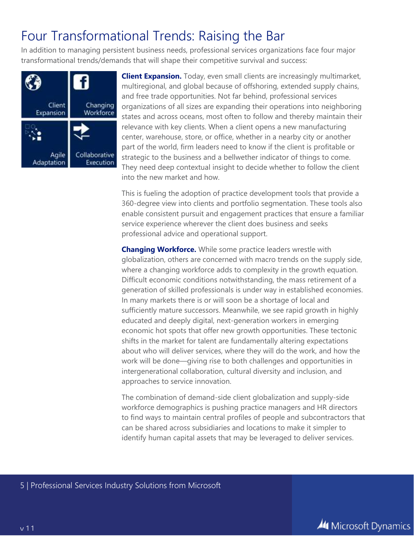## Four Transformational Trends: Raising the Bar

In addition to managing persistent business needs, professional services organizations face four major transformational trends/demands that will shape their competitive survival and success:



**Client Expansion.** Today, even small clients are increasingly multimarket, multiregional, and global because of offshoring, extended supply chains, and free trade opportunities. Not far behind, professional services organizations of all sizes are expanding their operations into neighboring states and across oceans, most often to follow and thereby maintain their relevance with key clients. When a client opens a new manufacturing center, warehouse, store, or office, whether in a nearby city or another part of the world, firm leaders need to know if the client is profitable or strategic to the business and a bellwether indicator of things to come. They need deep contextual insight to decide whether to follow the client into the new market and how.

This is fueling the adoption of practice development tools that provide a 360-degree view into clients and portfolio segmentation. These tools also enable consistent pursuit and engagement practices that ensure a familiar service experience wherever the client does business and seeks professional advice and operational support.

**Changing Workforce.** While some practice leaders wrestle with globalization, others are concerned with macro trends on the supply side, where a changing workforce adds to complexity in the growth equation. Difficult economic conditions notwithstanding, the mass retirement of a generation of skilled professionals is under way in established economies. In many markets there is or will soon be a shortage of local and sufficiently mature successors. Meanwhile, we see rapid growth in highly educated and deeply digital, next-generation workers in emerging economic hot spots that offer new growth opportunities. These tectonic shifts in the market for talent are fundamentally altering expectations about who will deliver services, where they will do the work, and how the work will be done—giving rise to both challenges and opportunities in intergenerational collaboration, cultural diversity and inclusion, and approaches to service innovation.

The combination of demand-side client globalization and supply-side workforce demographics is pushing practice managers and HR directors to find ways to maintain central profiles of people and subcontractors that can be shared across subsidiaries and locations to make it simpler to identify human capital assets that may be leveraged to deliver services.

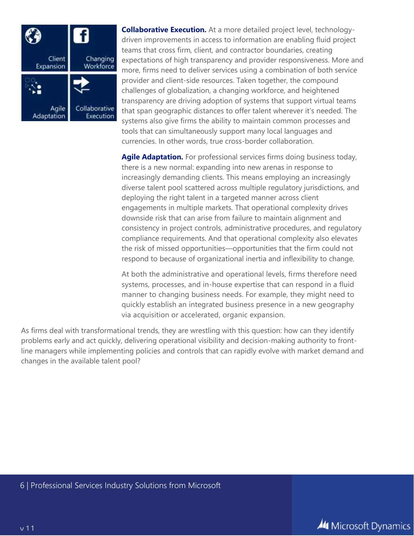

**Collaborative Execution.** At a more detailed project level, technologydriven improvements in access to information are enabling fluid project teams that cross firm, client, and contractor boundaries, creating expectations of high transparency and provider responsiveness. More and more, firms need to deliver services using a combination of both service provider and client-side resources. Taken together, the compound challenges of globalization, a changing workforce, and heightened transparency are driving adoption of systems that support virtual teams that span geographic distances to offer talent wherever it's needed. The systems also give firms the ability to maintain common processes and tools that can simultaneously support many local languages and currencies. In other words, true cross-border collaboration.

**Agile Adaptation.** For professional services firms doing business today, there is a new normal: expanding into new arenas in response to increasingly demanding clients. This means employing an increasingly diverse talent pool scattered across multiple regulatory jurisdictions, and deploying the right talent in a targeted manner across client engagements in multiple markets. That operational complexity drives downside risk that can arise from failure to maintain alignment and consistency in project controls, administrative procedures, and regulatory compliance requirements. And that operational complexity also elevates the risk of missed opportunities—opportunities that the firm could not respond to because of organizational inertia and inflexibility to change.

At both the administrative and operational levels, firms therefore need systems, processes, and in-house expertise that can respond in a fluid manner to changing business needs. For example, they might need to quickly establish an integrated business presence in a new geography via acquisition or accelerated, organic expansion.

As firms deal with transformational trends, they are wrestling with this question: how can they identify problems early and act quickly, delivering operational visibility and decision-making authority to frontline managers while implementing policies and controls that can rapidly evolve with market demand and changes in the available talent pool?

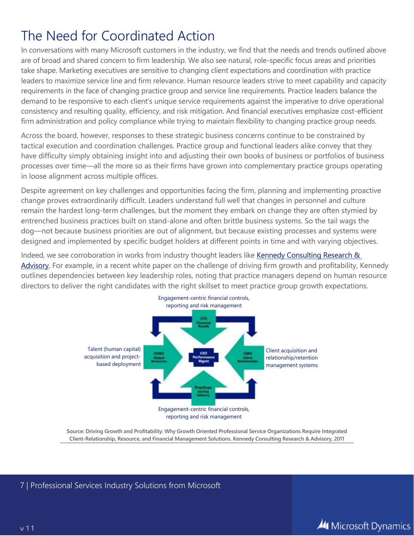## The Need for Coordinated Action

In conversations with many Microsoft customers in the industry, we find that the needs and trends outlined above are of broad and shared concern to firm leadership. We also see natural, role-specific focus areas and priorities take shape. Marketing executives are sensitive to changing client expectations and coordination with practice leaders to maximize service line and firm relevance. Human resource leaders strive to meet capability and capacity requirements in the face of changing practice group and service line requirements. Practice leaders balance the demand to be responsive to each client's unique service requirements against the imperative to drive operational consistency and resulting quality, efficiency, and risk mitigation. And financial executives emphasize cost-efficient firm administration and policy compliance while trying to maintain flexibility to changing practice group needs.

Across the board, however, responses to these strategic business concerns continue to be constrained by tactical execution and coordination challenges. Practice group and functional leaders alike convey that they have difficulty simply obtaining insight into and adjusting their own books of business or portfolios of business processes over time—all the more so as their firms have grown into complementary practice groups operating in loose alignment across multiple offices.

Despite agreement on key challenges and opportunities facing the firm, planning and implementing proactive change proves extraordinarily difficult. Leaders understand full well that changes in personnel and culture remain the hardest long-term challenges, but the moment they embark on change they are often stymied by entrenched business practices built on stand-alone and often brittle business systems. So the tail wags the dog—not because business priorities are out of alignment, but because existing processes and systems were designed and implemented by specific budget holders at different points in time and with varying objectives.

Indeed, we see corroboration in works from industry thought leaders like Kennedy Consulting Research & [Advisory.](http://www.kennedyinfo.com/consulting/) For example, in a recent white paper on the challenge of driving firm growth and profitability, Kennedy outlines dependencies between key leadership roles, noting that practice managers depend on human resource directors to deliver the right candidates with the right skillset to meet practice group growth expectations.



**Source: Driving Growth and Profitability: Why Growth Oriented Professional Service Organizations Require Integrated Client-Relationship, Resource, and Financial Management Solutions. Kennedy Consulting Research & Advisory, 2011**

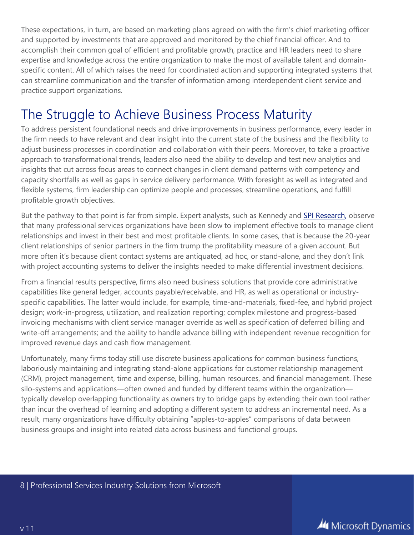These expectations, in turn, are based on marketing plans agreed on with the firm's chief marketing officer and supported by investments that are approved and monitored by the chief financial officer. And to accomplish their common goal of efficient and profitable growth, practice and HR leaders need to share expertise and knowledge across the entire organization to make the most of available talent and domainspecific content. All of which raises the need for coordinated action and supporting integrated systems that can streamline communication and the transfer of information among interdependent client service and practice support organizations.

### The Struggle to Achieve Business Process Maturity

To address persistent foundational needs and drive improvements in business performance, every leader in the firm needs to have relevant and clear insight into the current state of the business and the flexibility to adjust business processes in coordination and collaboration with their peers. Moreover, to take a proactive approach to transformational trends, leaders also need the ability to develop and test new analytics and insights that cut across focus areas to connect changes in client demand patterns with competency and capacity shortfalls as well as gaps in service delivery performance. With foresight as well as integrated and flexible systems, firm leadership can optimize people and processes, streamline operations, and fulfill profitable growth objectives.

But the pathway to that point is far from simple. Expert analysts, such as Kennedy and [SPI Research,](http://spiresearch.com/) observe that many professional services organizations have been slow to implement effective tools to manage client relationships and invest in their best and most profitable clients. In some cases, that is because the 20-year client relationships of senior partners in the firm trump the profitability measure of a given account. But more often it's because client contact systems are antiquated, ad hoc, or stand-alone, and they don't link with project accounting systems to deliver the insights needed to make differential investment decisions.

From a financial results perspective, firms also need business solutions that provide core administrative capabilities like general ledger, accounts payable/receivable, and HR, as well as operational or industryspecific capabilities. The latter would include, for example, time-and-materials, fixed-fee, and hybrid project design; work-in-progress, utilization, and realization reporting; complex milestone and progress-based invoicing mechanisms with client service manager override as well as specification of deferred billing and write-off arrangements; and the ability to handle advance billing with independent revenue recognition for improved revenue days and cash flow management.

Unfortunately, many firms today still use discrete business applications for common business functions, laboriously maintaining and integrating stand-alone applications for customer relationship management (CRM), project management, time and expense, billing, human resources, and financial management. These silo-systems and applications—often owned and funded by different teams within the organization typically develop overlapping functionality as owners try to bridge gaps by extending their own tool rather than incur the overhead of learning and adopting a different system to address an incremental need. As a result, many organizations have difficulty obtaining "apples-to-apples" comparisons of data between business groups and insight into related data across business and functional groups.

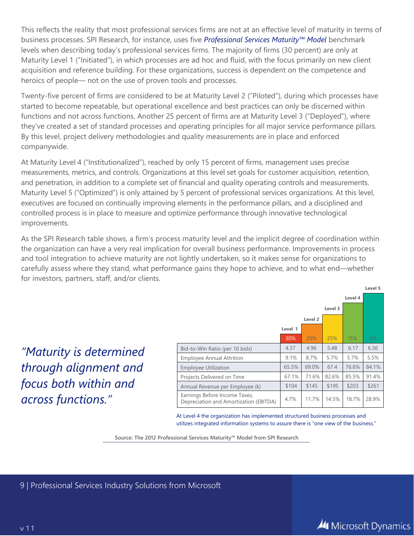This reflects the reality that most professional services firms are not at an effective level of maturity in terms of business processes. SPI Research, for instance, uses five *Professional Services Maturity™ Model* benchmark levels when describing today's professional services firms. The majority of firms (30 percent) are only at Maturity Level 1 ("Initiated"), in which processes are ad hoc and fluid, with the focus primarily on new client acquisition and reference building. For these organizations, success is dependent on the competence and heroics of people— not on the use of proven tools and processes.

Twenty-five percent of firms are considered to be at Maturity Level 2 ("Piloted"), during which processes have started to become repeatable, but operational excellence and best practices can only be discerned within functions and not across functions. Another 25 percent of firms are at Maturity Level 3 ("Deployed"), where they've created a set of standard processes and operating principles for all major service performance pillars. By this level, project delivery methodologies and quality measurements are in place and enforced companywide.

At Maturity Level 4 ("Institutionalized"), reached by only 15 percent of firms, management uses precise measurements, metrics, and controls. Organizations at this level set goals for customer acquisition, retention, and penetration, in addition to a complete set of financial and quality operating controls and measurements. Maturity Level 5 ("Optimized") is only attained by 5 percent of professional services organizations. At this level, executives are focused on continually improving elements in the performance pillars, and a disciplined and controlled process is in place to measure and optimize performance through innovative technological improvements.

As the SPI Research table shows, a firm's process maturity level and the implicit degree of coordination within the organization can have a very real implication for overall business performance. Improvements in process and tool integration to achieve maturity are not lightly undertaken, so it makes sense for organizations to carefully assess where they stand, what performance gains they hope to achieve, and to what end—whether for investors, partners, staff, and/or clients.

*"Maturity is determined through alignment and focus both within and across functions."*

| Level 3                                                                 |         |                    |       |       |       |
|-------------------------------------------------------------------------|---------|--------------------|-------|-------|-------|
|                                                                         |         | Level <sub>2</sub> |       |       |       |
|                                                                         | Level 1 |                    |       |       |       |
|                                                                         | 30%     | 25%                | 25%   | 15%   | 5%    |
| Bid-to-Win Ratio (per 10 bids)                                          | 4.37    | 4.96               | 5.48  | 6.17  | 6.36  |
| <b>Employee Annual Attrition</b>                                        | 9.1%    | 8.7%               | 5.7%  | 5.7%  | 5.5%  |
| <b>Employee Utilization</b>                                             | 65.5%   | 69.0%              | 67.4  | 76.6% | 84.1% |
| Projects Delivered on Time                                              | 67.1%   | 71.6%              | 82.6% | 85.5% | 91.4% |
| Annual Revenue per Employee (k)                                         | \$104   | \$145              | \$195 | \$203 | \$261 |
| Earnings Before Income Taxes,<br>Depreciation and Amortization (EBITDA) | 4.7%    | 11.7%              | 14.5% | 18.7% | 28.9% |

At Level 4 the organization has implemented structured business processes and utilizes integrated information systems to assure there is "one view of the business."

**Source: The 2012 Professional Services Maturity™ Model from SPI Research**

9 | Professional Services Industry Solutions from Microsoft

**Level 5**

**Level 4**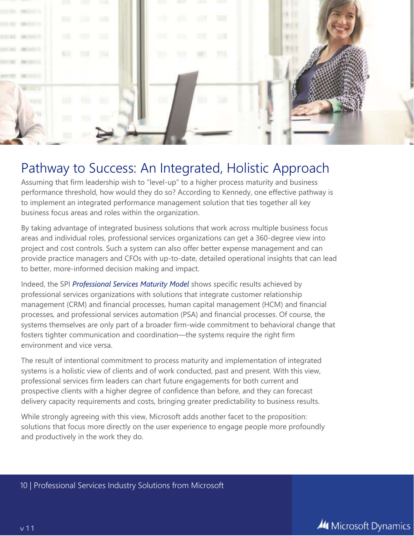

### Pathway to Success: An Integrated, Holistic Approach

Assuming that firm leadership wish to "level-up" to a higher process maturity and business performance threshold, how would they do so? According to Kennedy, one effective pathway is to implement an integrated performance management solution that ties together all key business focus areas and roles within the organization.

By taking advantage of integrated business solutions that work across multiple business focus areas and individual roles, professional services organizations can get a 360-degree view into project and cost controls. Such a system can also offer better expense management and can provide practice managers and CFOs with up-to-date, detailed operational insights that can lead to better, more-informed decision making and impact.

Indeed, the SPI *Professional Services Maturity Model* shows specific results achieved by professional services organizations with solutions that integrate customer relationship management (CRM) and financial processes, human capital management (HCM) and financial processes, and professional services automation (PSA) and financial processes. Of course, the systems themselves are only part of a broader firm-wide commitment to behavioral change that fosters tighter communication and coordination—the systems require the right firm environment and vice versa.

The result of intentional commitment to process maturity and implementation of integrated systems is a holistic view of clients and of work conducted, past and present. With this view, professional services firm leaders can chart future engagements for both current and prospective clients with a higher degree of confidence than before, and they can forecast delivery capacity requirements and costs, bringing greater predictability to business results.

While strongly agreeing with this view, Microsoft adds another facet to the proposition: solutions that focus more directly on the user experience to engage people more profoundly and productively in the work they do.

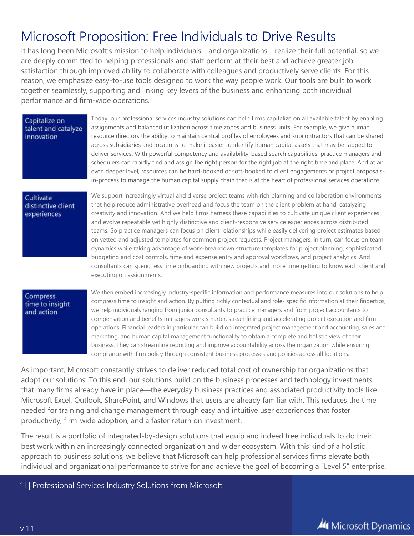### Microsoft Proposition: Free Individuals to Drive Results

It has long been Microsoft's mission to help individuals—and organizations—realize their full potential, so we are deeply committed to helping professionals and staff perform at their best and achieve greater job satisfaction through improved ability to collaborate with colleagues and productively serve clients. For this reason, we emphasize easy-to-use tools designed to work the way people work. Our tools are built to work together seamlessly, supporting and linking key levers of the business and enhancing both individual performance and firm-wide operations.

#### Capitalize on talent and catalyze innovation

Today, our professional services industry solutions can help firms capitalize on all available talent by enabling assignments and balanced utilization across time zones and business units. For example, we give human resource directors the ability to maintain central profiles of employees and subcontractors that can be shared across subsidiaries and locations to make it easier to identify human capital assets that may be tapped to deliver services. With powerful competency and availability-based search capabilities, practice managers and schedulers can rapidly find and assign the right person for the right job at the right time and place. And at an even deeper level, resources can be hard-booked or soft-booked to client engagements or project proposalsin-process to manage the human capital supply chain that is at the heart of professional services operations.

#### Cultivate distinctive client experiences

We support increasingly virtual and diverse project teams with rich planning and collaboration environments that help reduce administrative overhead and focus the team on the client problem at hand, catalyzing creativity and innovation. And we help firms harness these capabilities to cultivate unique client experiences and evolve repeatable yet highly distinctive and client-responsive service experiences across distributed teams. So practice managers can focus on client relationships while easily delivering project estimates based on vetted and adjusted templates for common project requests. Project managers, in turn, can focus on team dynamics while taking advantage of work-breakdown structure templates for project planning, sophisticated budgeting and cost controls, time and expense entry and approval workflows, and project analytics. And consultants can spend less time onboarding with new projects and more time getting to know each client and executing on assignments.

#### Compress time to insight and action

We then embed increasingly industry-specific information and performance measures into our solutions to help compress time to insight and action. By putting richly contextual and role- specific information at their fingertips, we help individuals ranging from junior consultants to practice managers and from project accountants to compensation and benefits managers work smarter, streamlining and accelerating project execution and firm operations. Financial leaders in particular can build on integrated project management and accounting, sales and marketing, and human capital management functionality to obtain a complete and holistic view of their business. They can streamline reporting and improve accountability across the organization while ensuring compliance with firm policy through consistent business processes and policies across all locations.

As important, Microsoft constantly strives to deliver reduced total cost of ownership for organizations that adopt our solutions. To this end, our solutions build on the business processes and technology investments that many firms already have in place—the everyday business practices and associated productivity tools like Microsoft Excel, Outlook, SharePoint, and Windows that users are already familiar with. This reduces the time needed for training and change management through easy and intuitive user experiences that foster productivity, firm-wide adoption, and a faster return on investment.

The result is a portfolio of integrated-by-design solutions that equip and indeed free individuals to do their best work within an increasingly connected organization and wider ecosystem. With this kind of a holistic approach to business solutions, we believe that Microsoft can help professional services firms elevate both individual and organizational performance to strive for and achieve the goal of becoming a "Level 5" enterprise.

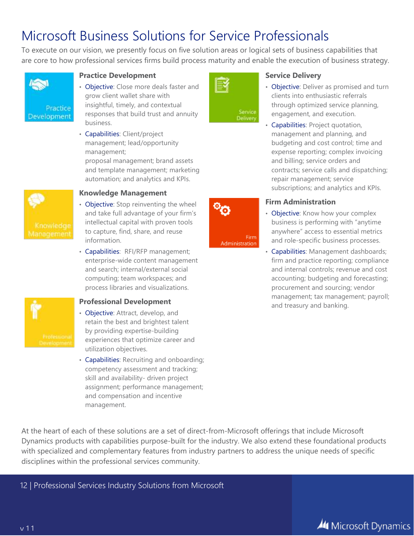## Microsoft Business Solutions for Service Professionals

To execute on our vision, we presently focus on five solution areas or logical sets of business capabilities that are core to how professional services firms build process maturity and enable the execution of business strategy.



### **Practice Development**

- Objective: Close more deals faster and grow client wallet share with insightful, timely, and contextual responses that build trust and annuity business.
- Capabilities: Client/project management; lead/opportunity management;

proposal management; brand assets and template management; marketing automation; and analytics and KPIs.



### **Knowledge Management**

- Objective: Stop reinventing the wheel and take full advantage of your firm's intellectual capital with proven tools to capture, find, share, and reuse information.
- Capabilities: RFI/RFP management; enterprise-wide content management and search; internal/external social computing; team workspaces; and process libraries and visualizations.



### **Professional Development**

- Objective: Attract, develop, and retain the best and brightest talent by providing expertise-building experiences that optimize career and utilization objectives.
- Capabilities: Recruiting and onboarding; competency assessment and tracking; skill and availability- driven project assignment; performance management; and compensation and incentive management.



Firm

Administration

#### **Service Delivery**

- Objective: Deliver as promised and turn clients into enthusiastic referrals through optimized service planning, engagement, and execution.
- Capabilities: Project quotation, management and planning, and budgeting and cost control; time and expense reporting; complex invoicing and billing; service orders and contracts; service calls and dispatching; repair management; service subscriptions; and analytics and KPIs.

### **Firm Administration**

- Objective: Know how your complex business is performing with "anytime anywhere" access to essential metrics and role-specific business processes.
- Capabilities: Management dashboards; firm and practice reporting; compliance and internal controls; revenue and cost accounting; budgeting and forecasting; procurement and sourcing; vendor management; tax management; payroll; and treasury and banking.

At the heart of each of these solutions are a set of direct-from-Microsoft offerings that include Microsoft Dynamics products with capabilities purpose-built for the industry. We also extend these foundational products with specialized and complementary features from industry partners to address the unique needs of specific disciplines within the professional services community.

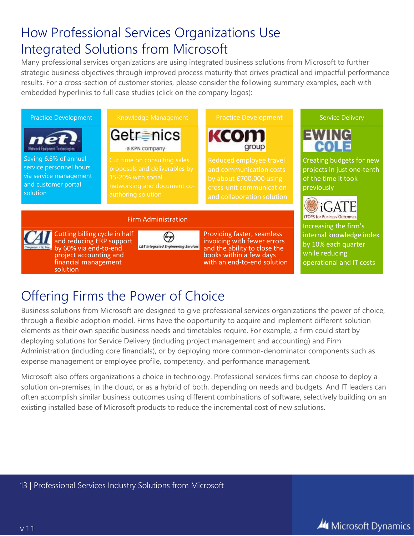## How Professional Services Organizations Use Integrated Solutions from Microsoft

Many professional services organizations are using integrated business solutions from Microsoft to further strategic business objectives through improved process maturity that drives practical and impactful performance results. For a cross-section of customer stories, please consider the following summary examples, each with embedded hyperlinks to full case studies (click on the company logos):



# Offering Firms the Power of Choice

Business solutions from Microsoft are designed to give professional services organizations the power of choice, through a flexible adoption model. Firms have the opportunity to acquire and implement different solution elements as their own specific business needs and timetables require. For example, a firm could start by deploying solutions for Service Delivery (including project management and accounting) and Firm Administration (including core financials), or by deploying more common-denominator components such as expense management or employee profile, competency, and performance management.

Microsoft also offers organizations a choice in technology. Professional services firms can choose to deploy a solution on-premises, in the cloud, or as a hybrid of both, depending on needs and budgets. And IT leaders can often accomplish similar business outcomes using different combinations of software, selectively building on an existing installed base of Microsoft products to reduce the incremental cost of new solutions.

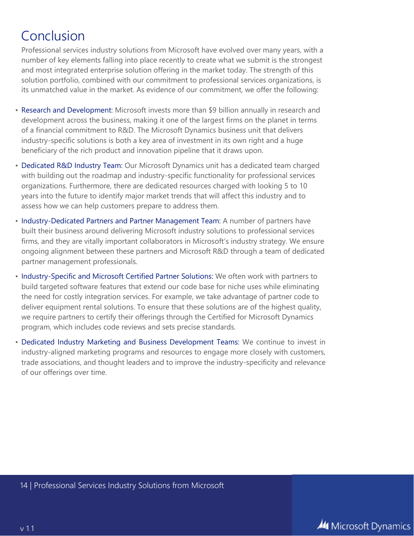# Conclusion

Professional services industry solutions from Microsoft have evolved over many years, with a number of key elements falling into place recently to create what we submit is the strongest and most integrated enterprise solution offering in the market today. The strength of this solution portfolio, combined with our commitment to professional services organizations, is its unmatched value in the market. As evidence of our commitment, we offer the following:

- Research and Development: Microsoft invests more than \$9 billion annually in research and development across the business, making it one of the largest firms on the planet in terms of a financial commitment to R&D. The Microsoft Dynamics business unit that delivers industry-specific solutions is both a key area of investment in its own right and a huge beneficiary of the rich product and innovation pipeline that it draws upon.
- Dedicated R&D Industry Team: Our Microsoft Dynamics unit has a dedicated team charged with building out the roadmap and industry-specific functionality for professional services organizations. Furthermore, there are dedicated resources charged with looking 5 to 10 years into the future to identify major market trends that will affect this industry and to assess how we can help customers prepare to address them.
- Industry-Dedicated Partners and Partner Management Team: A number of partners have built their business around delivering Microsoft industry solutions to professional services firms, and they are vitally important collaborators in Microsoft's industry strategy. We ensure ongoing alignment between these partners and Microsoft R&D through a team of dedicated partner management professionals.
- Industry-Specific and Microsoft Certified Partner Solutions: We often work with partners to build targeted software features that extend our code base for niche uses while eliminating the need for costly integration services. For example, we take advantage of partner code to deliver equipment rental solutions. To ensure that these solutions are of the highest quality, we require partners to certify their offerings through the Certified for Microsoft Dynamics program, which includes code reviews and sets precise standards.
- Dedicated Industry Marketing and Business Development Teams: We continue to invest in industry-aligned marketing programs and resources to engage more closely with customers, trade associations, and thought leaders and to improve the industry-specificity and relevance of our offerings over time.